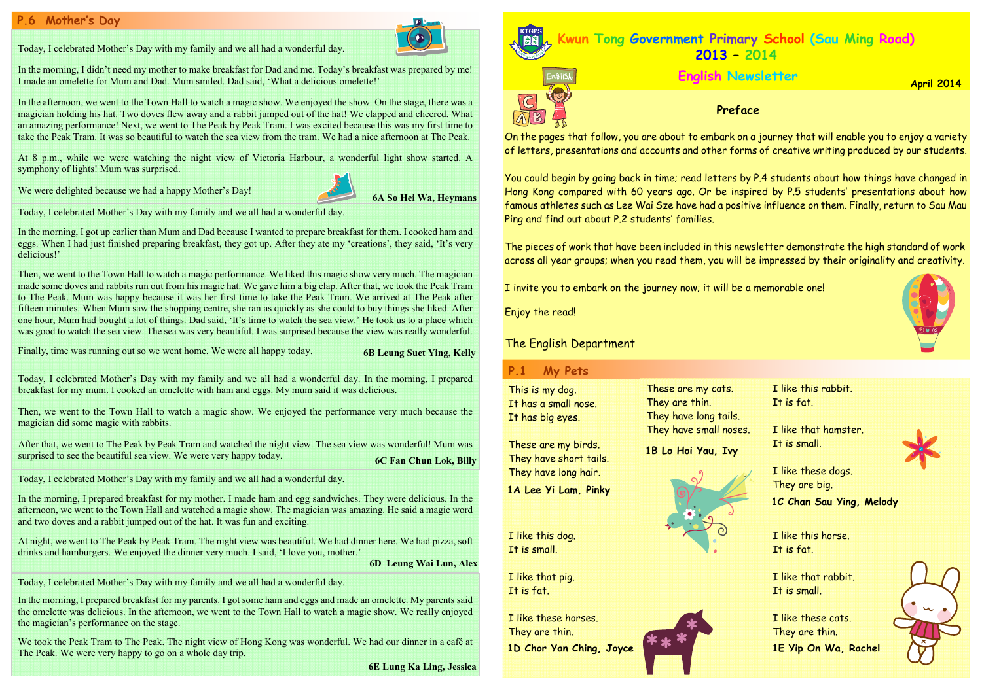Today, I celebrated Mother's Day with my family and we all had a wonderful day. In the morning, I prepared breakfast for my mum. I cooked an omelette with ham and eggs. My mum said it was delicious.

Then, we went to the Town Hall to watch a magic show. We enjoyed the performance very much because the magician did some magic with rabbits.

After that, we went to The Peak by Peak Tram and watched the night view. The sea view was wonderful! Mum was surprised to see the beautiful sea view. We were very happy today.

We took the Peak Tram to The Peak. The night view of Hong Kong was wonderful. We had our dinner in a café at The Peak. We were very happy to go on a whole day trip.

Today, I celebrated Mother's Day with my family and we all had a wonderful day.

In the morning, I didn't need my mother to make breakfast for Dad and me. Today's breakfast was prepared by me! I made an omelette for Mum and Dad. Mum smiled. Dad said, 'What a delicious omelette!'

In the morning, I prepared breakfast for my parents. I got some ham and eggs and made an omelette. My parents said the omelette was delicious. In the afternoon, we went to the Town Hall to watch a magic show. We really enjoyed the magician's performance on the stage.

In the afternoon, we went to the Town Hall to watch a magic show. We enjoyed the show. On the stage, there was a magician holding his hat. Two doves flew away and a rabbit jumped out of the hat! We clapped and cheered. What an amazing performance! Next, we went to The Peak by Peak Tram. I was excited because this was my first time to take the Peak Tram. It was so beautiful to watch the sea view from the tram. We had a nice afternoon at The Peak.

6E Lung Ka Ling, Jessica

# Mother's Day

Today, I celebrated Mother's Day with my family and we all had a wonderful day.

In the morning, I prepared breakfast for my mother. I made ham and egg sandwiches. They were delicious. In the afternoon, we went to the Town Hall and watched a magic show. The magician was amazing. He said a magic word and two doves and a rabbit jumped out of the hat. It was fun and exciting.

At 8 p.m., while we were watching the night view of Victoria Harbour, a wonderful light show started. A symphony of lights! Mum was surprised.

We were delighted because we had a happy Mother's Day!

Today, I celebrated Mother's Day with my family and we all had a wonderful day.

At night, we went to The Peak by Peak Tram. The night view was beautiful. We had dinner here. We had pizza, soft drinks and hamburgers. We enjoyed the dinner very much. I said, 'I love you, mother.'

> I like that pig. It is fat.

6D Leung Wai Lun, Alex

Today, I celebrated Mother's Day with my family and we all had a wonderful day.

In the morning, I got up earlier than Mum and Dad because I wanted to prepare breakfast for them. I cooked ham and eggs. When I had just finished preparing breakfast, they got up. After they ate my 'creations', they said, 'It's very delicious!'

Then, we went to the Town Hall to watch a magic performance. We liked this magic show very much. The magician made some doves and rabbits run out from his magic hat. We gave him a big clap. After that, we took the Peak Tram to The Peak. Mum was happy because it was her first time to take the Peak Tram. We arrived at The Peak after fifteen minutes. When Mum saw the shopping centre, she ran as quickly as she could to buy things she liked. After one hour, Mum had bought a lot of things. Dad said, 'It's time to watch the sea view.' He took us to a place which was good to watch the sea view. The sea was very beautiful. I was surprised because the view was really wonderful.

Finally, time was running out so we went home. We were all happy today. 6B Leung Suet Ying, Kelly



6C Fan Chun Lok, Billy They have short tails. They have long hair.

On the pages that follow, you are about to embark on a journey that will enable you to enjoy a variety of letters, presentations and accounts and other forms of creative writing produced by our students.

You could begin by going back in time; read letters by P.4 students about how things have changed in Hong Kong compared with 60 years ago. Or be inspired by P.5 students' presentations about how famous athletes such as Lee Wai Sze have had a positive influence on them. Finally, return to Sau Mau Ping and find out about P.2 students' families.



The pieces of work that have been included in this newsletter demonstrate the high standard of work across all year groups; when you read them, you will be impressed by their originality and creativity.

I invite you to embark on the journey now; it will be a memorable one!

Enjoy the read!

# The English Department

#### P.1My Pets

These are my cats. They are thin. They have long tails. They have small noses.

This is my dog. It has a small nose. It has big eyes.

These are my birds.

I like this dog. It is small.

I like this rabbit. It is fat.

I like that hamster. It is small.

I like these horses. They are thin. 1D Chor Yan Ching, Joyce



I like this horse. It is fat.

I like that rabbit. It is small.

I like these dogs. They are big. 1C Chan Sau Ying, Melody

I like these cats. They are thin. 1E Yip On Wa, Rachel





1B Lo Hoi Yau, Ivy

1A Lee Yi Lam, Pinky

### April 2014